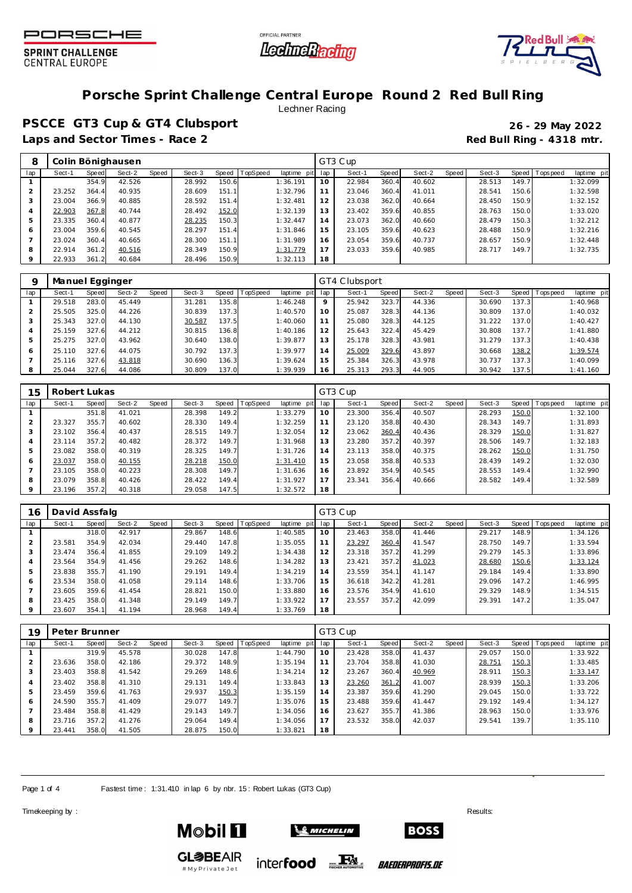





## **Porsche Sprint Challenge Central Europe Round 2 Red Bull Ring**

Lechner Racing

**PSCCE GT3 Cup & GT4 Clubsport 26 - 29 May 2022** Laps and Sector Times - Race 2 **Red Bull Ring - 4318 mtr.** 

|         |        |       | Colin Bönighausen |       |        |       |                 |             |     | GT3 Cup |       |        |       |        |       |                 |             |
|---------|--------|-------|-------------------|-------|--------|-------|-----------------|-------------|-----|---------|-------|--------|-------|--------|-------|-----------------|-------------|
| lap     | Sect-1 | Speed | Sect-2            | Speed | Sect-3 | Speed | <b>TopSpeed</b> | laptime pit | lap | Sect-1  | Speed | Sect-2 | Speed | Sect-3 |       | Speed Tops peed | laptime pit |
|         |        | 354.9 | 42.526            |       | 28.992 | 150.6 |                 | 1:36.191    | 10  | 22.984  | 360.4 | 40.602 |       | 28.513 | 149.7 |                 | 1:32.099    |
|         | 23.252 | 364.4 | 40.935            |       | 28.609 | 151.1 |                 | 1:32.796    |     | 23.046  | 360.4 | 41.011 |       | 28.541 | 150.6 |                 | 1:32.598    |
|         | 23.004 | 366.9 | 40.885            |       | 28.592 | 151.4 |                 | 1:32.481    | 12  | 23.038  | 362.0 | 40.664 |       | 28.450 | 150.9 |                 | 1:32.152    |
| 4       | 22.903 | 367.8 | 40.744            |       | 28.492 | 152.0 |                 | 1:32.139    | 13  | 23.402  | 359.6 | 40.855 |       | 28.763 | 150.0 |                 | 1:33.020    |
|         | 23.335 | 360.4 | 40.877            |       | 28.235 | 150.3 |                 | 1:32.447    | 14  | 23.073  | 362.0 | 40.660 |       | 28.479 | 150.3 |                 | 1:32.212    |
| 6       | 23.004 | 359.6 | 40.545            |       | 28.297 | 151.4 |                 | 1:31.846    | 15  | 23.105  | 359.6 | 40.623 |       | 28.488 | 150.9 |                 | 1:32.216    |
|         | 23.024 | 360.4 | 40.665            |       | 28.300 | 151.1 |                 | 1:31.989    | 16  | 23.054  | 359.6 | 40.737 |       | 28.657 | 150.9 |                 | 1:32.448    |
| 8       | 22.914 | 361.2 | 40.516            |       | 28.349 | 150.9 |                 | 1:31.779    |     | 23.033  | 359.6 | 40.985 |       | 28.717 | 149.7 |                 | 1:32.735    |
| $\circ$ | 22.933 | 361.2 | 40.684            |       | 28.496 | 150.9 |                 | 1:32.113    | 18  |         |       |        |       |        |       |                 |             |

| Q   | Manuel Egginger |       |        |       |        |       |          |             |         | GT4 Clubsport |       |        |         |        |       |            |             |
|-----|-----------------|-------|--------|-------|--------|-------|----------|-------------|---------|---------------|-------|--------|---------|--------|-------|------------|-------------|
| lap | Sect-1          | Speed | Sect-2 | Speed | Sect-3 | Speed | TopSpeed | laptime pit | lap     | Sect-1        | Speed | Sect-2 | Speed ! | Sect-3 | Speed | Tops pee d | laptime pit |
|     | 29.518          | 283.0 | 45.449 |       | 31.281 | 135.8 |          | 1:46.248    | $\circ$ | 25.942        | 323.7 | 44.336 |         | 30.690 | 137.3 |            | 1:40.968    |
|     | 25.505          | 325.0 | 44.226 |       | 30.839 | 137.3 |          | 1:40.570    | 10      | 25.087        | 328.3 | 44.136 |         | 30.809 | 137.0 |            | 1:40.032    |
|     | 25.343          | 327.0 | 44.130 |       | 30.587 | 137.5 |          | 1:40.060    |         | 25.080        | 328.3 | 44.125 |         | 31.222 | 137.0 |            | 1:40.427    |
|     | 25.159          | 327.6 | 44.212 |       | 30.815 | 136.8 |          | 1:40.186    | 12      | 25.643        | 322.4 | 45.429 |         | 30.808 | 137.7 |            | 1:41.880    |
|     | 25.275          | 327.0 | 43.962 |       | 30.640 | 138.0 |          | 1:39.877    | 13      | 25.178        | 328.3 | 43.981 |         | 31.279 | 137.3 |            | 1:40.438    |
| 6   | 25.110          | 327.6 | 44.075 |       | 30.792 | 137.3 |          | 1:39.977    | 14      | 25.009        | 329.6 | 43.897 |         | 30.668 | 138.2 |            | 1:39.574    |
|     | 25.116          | 327.6 | 43.818 |       | 30.690 | 136.3 |          | 1:39.624    | 15      | 25.384        | 326.3 | 43.978 |         | 30.737 | 137.3 |            | 1:40.099    |
|     | 25.044          | 327.6 | 44.086 |       | 30.809 | 137.0 |          | 1:39.939    | 16      | 25.313        | 293.3 | 44.905 |         | 30.942 | 137.5 |            | 1:41.160    |

| 15  | Robert Lukas |       |        |       |        |       |                 |                |     | GT3 Cup |       |        |       |        |       |                |             |
|-----|--------------|-------|--------|-------|--------|-------|-----------------|----------------|-----|---------|-------|--------|-------|--------|-------|----------------|-------------|
| lap | Sect-1       | Speed | Sect-2 | Speed | Sect-3 | Speed | <b>TopSpeed</b> | laptime<br>pit | lap | Sect-1  | Speed | Sect-2 | Speed | Sect-3 |       | Speed Topspeed | laptime pit |
|     |              | 351.8 | 41.021 |       | 28.398 | 149.2 |                 | 1:33.279       | 10  | 23.300  | 356.4 | 40.507 |       | 28.293 | 150.0 |                | 1:32.100    |
| 2   | 23.327       | 355.7 | 40.602 |       | 28.330 | 149.4 |                 | 1:32.259       |     | 23.120  | 358.8 | 40.430 |       | 28.343 | 149.7 |                | 1:31.893    |
| 3   | 23.102       | 356.4 | 40.437 |       | 28.515 | 149.7 |                 | 1:32.054       | 12  | 23.062  | 360.4 | 40.436 |       | 28.329 | 150.0 |                | 1:31.827    |
| 4   | 23.114       | 357.2 | 40.482 |       | 28.372 | 149.7 |                 | 1:31.968       | 13  | 23.280  | 357.2 | 40.397 |       | 28.506 | 149.7 |                | 1:32.183    |
| 5   | 23.082       | 358.0 | 40.319 |       | 28.325 | 149.7 |                 | 1:31.726       | 14  | 23.113  | 358.0 | 40.375 |       | 28.262 | 150.0 |                | 1:31.750    |
| 6   | 23.037       | 358.0 | 40.155 |       | 28.218 | 150.0 |                 | 1:31.410       | 15  | 23.058  | 358.8 | 40.533 |       | 28.439 | 149.2 |                | 1:32.030    |
|     | 23.105       | 358.0 | 40.223 |       | 28.308 | 149.7 |                 | 1:31.636       | 16  | 23.892  | 354.9 | 40.545 |       | 28.553 | 149.4 |                | 1:32.990    |
| 8   | 23.079       | 358.8 | 40.426 |       | 28.422 | 149.4 |                 | 1:31.927       | 17  | 23.341  | 356.4 | 40.666 |       | 28.582 | 149.4 |                | 1:32.589    |
| 9   | 23.196       | 357.2 | 40.318 |       | 29.058 | 147.5 |                 | 1:32.572       | 18  |         |       |        |       |        |       |                |             |

| 16  | David Assfalg |       |        |       |        |       |          |             |     | GT3 Cup |       |        |       |        |       |                   |             |
|-----|---------------|-------|--------|-------|--------|-------|----------|-------------|-----|---------|-------|--------|-------|--------|-------|-------------------|-------------|
| lap | Sect-1        | Speed | Sect-2 | Speed | Sect-3 | Speed | TopSpeed | laptime pit | lap | Sect-1  | Speed | Sect-2 | Speed | Sect-3 |       | Speed   Tops peed | laptime pit |
|     |               | 318.0 | 42.917 |       | 29.867 | 148.6 |          | 1:40.585    | 10  | 23.463  | 358.0 | 41.446 |       | 29.217 | 148.9 |                   | 1:34.126    |
|     | 23.581        | 354.9 | 42.034 |       | 29.440 | 147.8 |          | 1:35.055    | 11  | 23.297  | 360.4 | 41.547 |       | 28.750 | 149.7 |                   | 1:33.594    |
|     | 23.474        | 356.4 | 41.855 |       | 29.109 | 149.2 |          | 1:34.438    | 12  | 23.318  | 357.2 | 41.299 |       | 29.279 | 145.3 |                   | 1:33.896    |
|     | 23.564        | 354.9 | 41.456 |       | 29.262 | 148.6 |          | 1:34.282    | 13  | 23.421  | 357.2 | 41.023 |       | 28.680 | 150.6 |                   | 1:33.124    |
|     | 23.838        | 355.7 | 41.190 |       | 29.191 | 149.4 |          | 1:34.219    | 14  | 23.559  | 354.1 | 41.147 |       | 29.184 | 149.4 |                   | 1:33.890    |
| 6   | 23.534        | 358.0 | 41.058 |       | 29.114 | 148.6 |          | 1:33.706    | 15  | 36.618  | 342.2 | 41.281 |       | 29.096 | 147.2 |                   | 1:46.995    |
|     | 23.605        | 359.6 | 41.454 |       | 28.821 | 150.0 |          | 1:33.880    | 16  | 23.576  | 354.9 | 41.610 |       | 29.329 | 148.9 |                   | 1:34.515    |
| 8   | 23.425        | 358.0 | 41.348 |       | 29.149 | 149.7 |          | 1:33.922    | 17  | 23.557  | 357.2 | 42.099 |       | 29.391 | 147.2 |                   | 1:35.047    |
|     | 23.607        | 354.1 | 41.194 |       | 28.968 | 149.4 |          | 1:33.769    | 18  |         |       |        |       |        |       |                   |             |

| 19             | Peter Brunner |       |        |       |        |       |          |                |     | GT3 Cup |       |        |       |        |       |                   |             |
|----------------|---------------|-------|--------|-------|--------|-------|----------|----------------|-----|---------|-------|--------|-------|--------|-------|-------------------|-------------|
| lap            | Sect-1        | Speed | Sect-2 | Speed | Sect-3 | Speed | TopSpeed | laptime<br>pit | lap | Sect-1  | Speed | Sect-2 | Speed | Sect-3 |       | Speed   Tops peed | laptime pit |
|                |               | 319.9 | 45.578 |       | 30.028 | 147.8 |          | 1:44.790       | 10  | 23.428  | 358.0 | 41.437 |       | 29.057 | 150.0 |                   | 1:33.922    |
|                | 23.636        | 358.0 | 42.186 |       | 29.372 | 148.9 |          | 1:35.194       | 11  | 23.704  | 358.8 | 41.030 |       | 28.751 | 150.3 |                   | 1:33.485    |
| 3              | 23.403        | 358.8 | 41.542 |       | 29.269 | 148.6 |          | 1:34.214       | 12  | 23.267  | 360.4 | 40.969 |       | 28.911 | 150.3 |                   | 1:33.147    |
| $\overline{4}$ | 23.402        | 358.8 | 41.310 |       | 29.131 | 149.4 |          | 1:33.843       | 13  | 23.260  | 361.2 | 41.007 |       | 28.939 | 150.3 |                   | 1:33.206    |
| 5              | 23.459        | 359.6 | 41.763 |       | 29.937 | 150.3 |          | 1:35.159       | 14  | 23.387  | 359.6 | 41.290 |       | 29.045 | 150.0 |                   | 1:33.722    |
| 6              | 24.590        | 355.7 | 41.409 |       | 29.077 | 149.7 |          | 1:35.076       | 15  | 23.488  | 359.6 | 41.447 |       | 29.192 | 149.4 |                   | 1:34.127    |
|                | 23.484        | 358.8 | 41.429 |       | 29.143 | 149.7 |          | 1:34.056       | 16  | 23.627  | 355.7 | 41.386 |       | 28.963 | 150.0 |                   | 1:33.976    |
| 8              | 23.716        | 357.2 | 41.276 |       | 29.064 | 149.4 |          | 1:34.056       |     | 23.532  | 358.0 | 42.037 |       | 29.541 | 139.7 |                   | 1:35.110    |
| 9              | 23.441        | 358.0 | 41.505 |       | 28.875 | 150.0 |          | 1:33.821       | 18  |         |       |        |       |        |       |                   |             |

Page 1 of 4 Fastest time: 1:31.410 in lap 6 by nbr. 15: Robert Lukas (GT3 Cup)

Timekeeping by : Results:  $\blacksquare$ 





inter**food** FALL

*BAEDERPROFIS.DE* 

**BOSS** 

**GL参BEAIR** #MyPrivateJet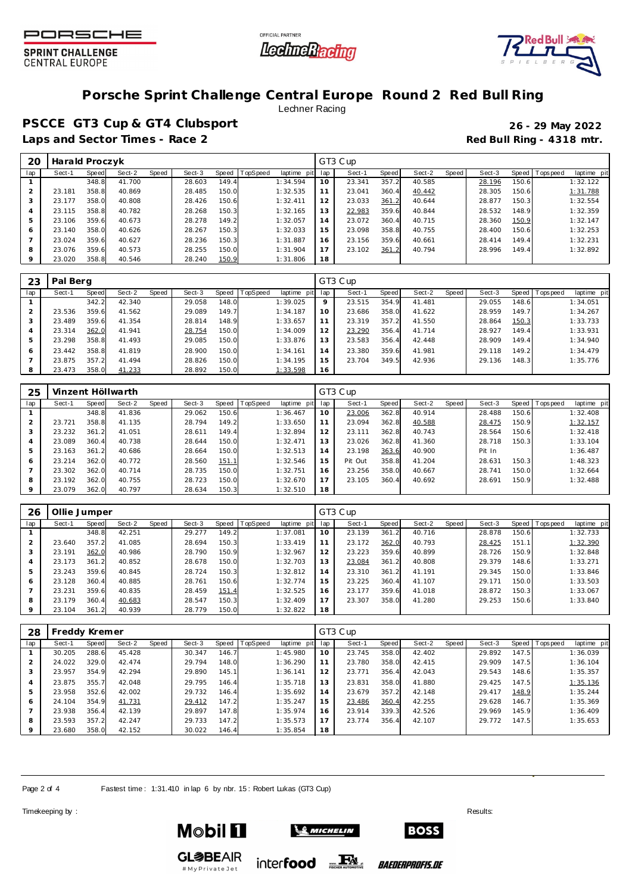





## **Porsche Sprint Challenge Central Europe Round 2 Red Bull Ring**

Lechner Racing

**PSCCE GT3 Cup & GT4 Clubsport 26 - 29 May 2022** Laps and Sector Times - Race 2 **Red Bull Ring - 4318 mtr.** 

| 20      | Harald Proczyk |       |        |       |        |       |          |             |     | GT3 Cup |       |        |         |        |       |                 |             |
|---------|----------------|-------|--------|-------|--------|-------|----------|-------------|-----|---------|-------|--------|---------|--------|-------|-----------------|-------------|
| lap     | Sect-1         | Speed | Sect-2 | Speed | Sect-3 | Speed | TopSpeed | laptime pit | lap | Sect-1  | Speed | Sect-2 | Speed ' | Sect-3 |       | Speed Tops peed | laptime pit |
|         |                | 348.8 | 41.700 |       | 28.603 | 149.4 |          | 1:34.594    | 10  | 23.341  | 357.2 | 40.585 |         | 28.196 | 150.6 |                 | 1:32.122    |
|         | 23.181         | 358.8 | 40.869 |       | 28.485 | 150.0 |          | 1:32.535    |     | 23.041  | 360.4 | 40.442 |         | 28.305 | 150.6 |                 | 1:31.788    |
|         | 23.177         | 358.0 | 40.808 |       | 28.426 | 150.6 |          | 1:32.411    | 12  | 23.033  | 361.2 | 40.644 |         | 28.877 | 150.3 |                 | 1:32.554    |
| 4       | 23.115         | 358.8 | 40.782 |       | 28.268 | 150.3 |          | 1:32.165    | 13  | 22.983  | 359.6 | 40.844 |         | 28.532 | 148.9 |                 | 1:32.359    |
| 5       | 23.106         | 359.6 | 40.673 |       | 28.278 | 149.2 |          | 1:32.057    | 14  | 23.072  | 360.4 | 40.715 |         | 28.360 | 150.9 |                 | 1:32.147    |
| 6       | 23.140         | 358.0 | 40.626 |       | 28.267 | 150.3 |          | 1:32.033    | 15  | 23.098  | 358.8 | 40.755 |         | 28.400 | 150.6 |                 | 1:32.253    |
|         | 23.024         | 359.6 | 40.627 |       | 28.236 | 150.3 |          | 1:31.887    | 16  | 23.156  | 359.6 | 40.661 |         | 28.414 | 149.4 |                 | 1:32.231    |
| 8       | 23.076         | 359.6 | 40.573 |       | 28.255 | 150.0 |          | 1:31.904    |     | 23.102  | 361.2 | 40.794 |         | 28.996 | 149.4 |                 | 1:32.892    |
| $\circ$ | 23.020         | 358.8 | 40.546 |       | 28.240 | 150.9 |          | 1:31.806    | 18  |         |       |        |         |        |       |                 |             |

| 23             | Pal Berg |       |        |       |        |       |                 |             |         | GT3 Cup |       |        |         |        |       |                 |             |
|----------------|----------|-------|--------|-------|--------|-------|-----------------|-------------|---------|---------|-------|--------|---------|--------|-------|-----------------|-------------|
| lap            | Sect-1   | Speed | Sect-2 | Speed | Sect-3 | Speed | <b>TopSpeed</b> | laptime pit | lap     | Sect-1  | Speed | Sect-2 | Speed ' | Sect-3 |       | Speed Tops peed | laptime pit |
|                |          | 342.2 | 42.340 |       | 29.058 | 148.0 |                 | 1:39.025    | $\circ$ | 23.515  | 354.9 | 41.481 |         | 29.055 | 148.6 |                 | 1:34.051    |
| 2              | 23.536   | 359.6 | 41.562 |       | 29.089 | 149.7 |                 | 1:34.187    | 10      | 23.686  | 358.0 | 41.622 |         | 28.959 | 149.7 |                 | 1:34.267    |
| 3              | 23.489   | 359.6 | 41.354 |       | 28.814 | 148.9 |                 | 1:33.657    |         | 23.319  | 357.2 | 41.550 |         | 28.864 | 150.3 |                 | 1:33.733    |
| $\overline{4}$ | 23.314   | 362.0 | 41.941 |       | 28.754 | 150.0 |                 | 1:34.009    | 12      | 23.290  | 356.4 | 41.714 |         | 28.927 | 149.4 |                 | 1:33.931    |
| 5              | 23.298   | 358.8 | 41.493 |       | 29.085 | 150.0 |                 | 1:33.876    | 13      | 23.583  | 356.4 | 42.448 |         | 28.909 | 149.4 |                 | 1:34.940    |
| 6              | 23.442   | 358.8 | 41.819 |       | 28.900 | 150.0 |                 | 1:34.161    | 14      | 23.380  | 359.6 | 41.981 |         | 29.118 | 149.2 |                 | 1:34.479    |
|                | 23.875   | 357.2 | 41.494 |       | 28.826 | 150.0 |                 | 1:34.195    | 15      | 23.704  | 349.5 | 42.936 |         | 29.136 | 148.3 |                 | 1:35.776    |
| 8              | 23.473   | 358.0 | 41.233 |       | 28.892 | 150.0 |                 | 1:33.598    | 16      |         |       |        |         |        |       |                 |             |

| 25  |        |       | Vinzent Höllwarth |       |        |       |          |             |     | GT3 Cup |       |        |       |        |       |                |             |
|-----|--------|-------|-------------------|-------|--------|-------|----------|-------------|-----|---------|-------|--------|-------|--------|-------|----------------|-------------|
| lap | Sect-1 | Speed | Sect-2            | Speed | Sect-3 | Speed | TopSpeed | laptime pit | lap | Sect-1  | Speed | Sect-2 | Speed | Sect-3 |       | Speed Topspeed | laptime pit |
|     |        | 348.8 | 41.836            |       | 29.062 | 150.6 |          | 1:36.467    | 10  | 23.006  | 362.8 | 40.914 |       | 28.488 | 150.6 |                | 1:32.408    |
|     | 23.721 | 358.8 | 41.135            |       | 28.794 | 149.2 |          | 1:33.650    | 11  | 23.094  | 362.8 | 40.588 |       | 28.475 | 150.9 |                | 1:32.157    |
| 3   | 23.232 | 361.2 | 41.051            |       | 28.611 | 149.4 |          | 1:32.894    | 12  | 23.111  | 362.8 | 40.743 |       | 28.564 | 150.6 |                | 1:32.418    |
| 4   | 23.089 | 360.4 | 40.738            |       | 28.644 | 150.0 |          | 1:32.471    | 1.3 | 23.026  | 362.8 | 41.360 |       | 28.718 | 150.3 |                | 1:33.104    |
| 5   | 23.163 | 361.2 | 40.686            |       | 28.664 | 150.0 |          | 1:32.513    | 14  | 23.198  | 363.6 | 40.900 |       | Pit In |       |                | 1:36.487    |
| 6   | 23.214 | 362.0 | 40.772            |       | 28.560 | 151.1 |          | 1:32.546    | 15  | Pit Out | 358.8 | 41.204 |       | 28.631 | 150.3 |                | 1:48.323    |
|     | 23.302 | 362.0 | 40.714            |       | 28.735 | 150.0 |          | 1:32.751    | 16  | 23.256  | 358.0 | 40.667 |       | 28.741 | 150.0 |                | 1:32.664    |
| 8   | 23.192 | 362.0 | 40.755            |       | 28.723 | 150.0 |          | 1:32.670    | 17  | 23.105  | 360.4 | 40.692 |       | 28.691 | 150.9 |                | 1:32.488    |
| 9   | 23.079 | 362.0 | 40.797            |       | 28.634 | 150.3 |          | 1:32.510    | 18  |         |       |        |       |        |       |                |             |

| 26  | Ollie Jumper |              |        |       |        |       |          |             |     | GT3 Cup |       |        |       |        |       |                   |             |
|-----|--------------|--------------|--------|-------|--------|-------|----------|-------------|-----|---------|-------|--------|-------|--------|-------|-------------------|-------------|
| lap | Sect-1       | <b>Speed</b> | Sect-2 | Speed | Sect-3 | Speed | TopSpeed | laptime pit | lap | Sect-1  | Speed | Sect-2 | Speed | Sect-3 |       | Speed   Tops peed | laptime pit |
|     |              | 348.8        | 42.251 |       | 29.277 | 149.2 |          | 1:37.081    | 10  | 23.139  | 361.2 | 40.716 |       | 28.878 | 150.6 |                   | 1:32.733    |
|     | 23.640       | 357.2        | 41.085 |       | 28.694 | 150.3 |          | 1:33.419    | 11  | 23.172  | 362.0 | 40.793 |       | 28.425 | 151.1 |                   | 1:32.390    |
|     | 23.191       | 362.0        | 40.986 |       | 28.790 | 150.9 |          | 1:32.967    | 12  | 23.223  | 359.6 | 40.899 |       | 28.726 | 150.9 |                   | 1:32.848    |
| 4   | 23.173       | 361.2        | 40.852 |       | 28.678 | 150.0 |          | 1:32.703    | 13  | 23.084  | 361.2 | 40.808 |       | 29.379 | 148.6 |                   | 1:33.271    |
|     | 23.243       | 359.6        | 40.845 |       | 28.724 | 150.3 |          | 1:32.812    | 14  | 23.310  | 361.2 | 41.191 |       | 29.345 | 150.0 |                   | 1:33.846    |
| 6   | 23.128       | 360.4        | 40.885 |       | 28.761 | 150.6 |          | 1:32.774    | 15  | 23.225  | 360.4 | 41.107 |       | 29.171 | 150.0 |                   | 1:33.503    |
|     | 23.231       | 359.6        | 40.835 |       | 28.459 | 151.4 |          | 1:32.525    | 16  | 23.177  | 359.6 | 41.018 |       | 28.872 | 150.3 |                   | 1:33.067    |
| 8   | 23.179       | 360.4        | 40.683 |       | 28.547 | 150.3 |          | 1:32.409    | 17  | 23.307  | 358.0 | 41.280 |       | 29.253 | 150.6 |                   | 1:33.840    |
|     | 23.104       | 361.2        | 40.939 |       | 28.779 | 150.0 |          | 1:32.822    | 18  |         |       |        |       |        |       |                   |             |

| 28             | Freddy Kremer |       |        |       |        |       |          |                |     | GT3 Cup |       |        |       |        |       |                   |             |
|----------------|---------------|-------|--------|-------|--------|-------|----------|----------------|-----|---------|-------|--------|-------|--------|-------|-------------------|-------------|
| lap            | Sect-1        | Speed | Sect-2 | Speed | Sect-3 | Speed | TopSpeed | laptime<br>pit | lap | Sect-1  | Speed | Sect-2 | Speed | Sect-3 |       | Speed   Tops peed | laptime pit |
|                | 30.205        | 288.6 | 45.428 |       | 30.347 | 146.7 |          | 1:45.980       | 10  | 23.745  | 358.0 | 42.402 |       | 29.892 | 147.5 |                   | 1:36.039    |
|                | 24.022        | 329.0 | 42.474 |       | 29.794 | 148.0 |          | 1:36.290       | 11  | 23.780  | 358.0 | 42.415 |       | 29.909 | 147.5 |                   | 1:36.104    |
| 3              | 23.957        | 354.9 | 42.294 |       | 29.890 | 145.1 |          | 1:36.141       | 12  | 23.771  | 356.4 | 42.043 |       | 29.543 | 148.6 |                   | 1:35.357    |
| $\overline{A}$ | 23.875        | 355.7 | 42.048 |       | 29.795 | 146.4 |          | 1:35.718       | 13  | 23.831  | 358.0 | 41.880 |       | 29.425 | 147.5 |                   | 1:35.136    |
| 5              | 23.958        | 352.6 | 42.002 |       | 29.732 | 146.4 |          | 1:35.692       | 14  | 23.679  | 357.2 | 42.148 |       | 29.417 | 148.9 |                   | 1:35.244    |
| 6              | 24.104        | 354.9 | 41.731 |       | 29.412 | 147.2 |          | 1:35.247       | 15  | 23.486  | 360.4 | 42.255 |       | 29.628 | 146.7 |                   | 1:35.369    |
|                | 23.938        | 356.4 | 42.139 |       | 29.897 | 147.8 |          | 1:35.974       | 16  | 23.914  | 339.3 | 42.526 |       | 29.969 | 145.9 |                   | 1:36.409    |
| 8              | 23.593        | 357.2 | 42.247 |       | 29.733 | 147.2 |          | 1:35.573       | 17  | 23.774  | 356.4 | 42.107 |       | 29.772 | 147.5 |                   | 1:35.653    |
| 9              | 23.680        | 358.0 | 42.152 |       | 30.022 | 146.4 |          | 1:35.854       | 18  |         |       |        |       |        |       |                   |             |

Page 2 of 4 Fastest time: 1:31.410 in lap 6 by nbr. 15: Robert Lukas (GT3 Cup)

Timekeeping by : Results:  $\blacksquare$ 





**GL参BEAIR** inter**food** FALL #MyPrivateJet

*BAEDERPROFIS.DE* 

**BOSS**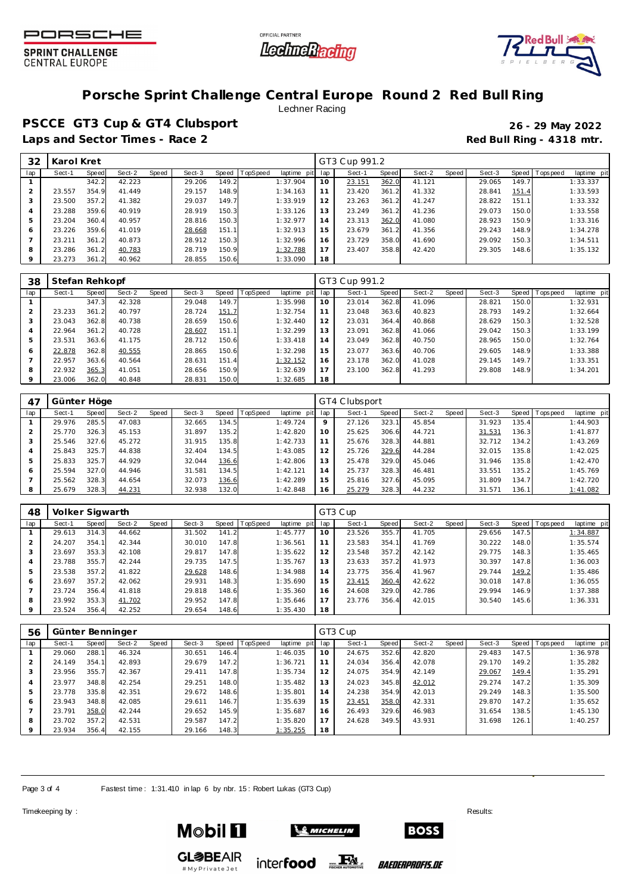





# **Porsche Sprint Challenge Central Europe Round 2 Red Bull Ring**

Lechner Racing

**PSCCE GT3 Cup & GT4 Clubsport 26 - 29 May 2022** Laps and Sector Times - Race 2 **Red Bull Ring - 4318 mtr.** 

| 32      | Karol Kret |       |        |       |        |       |                |             |     | GT3 Cup 991.2 |       |        |       |        |       |                |             |
|---------|------------|-------|--------|-------|--------|-------|----------------|-------------|-----|---------------|-------|--------|-------|--------|-------|----------------|-------------|
| lap     | Sect-1     | Speed | Sect-2 | Speed | Sect-3 |       | Speed TopSpeed | laptime pit | lap | Sect-1        | Speed | Sect-2 | Speed | Sect-3 |       | Speed Topspeed | laptime pit |
|         |            | 342.2 | 42.223 |       | 29.206 | 149.2 |                | 1:37.904    | 10  | 23.151        | 362.0 | 41.121 |       | 29.065 | 149.7 |                | 1:33.337    |
|         | 23.557     | 354.9 | 41.449 |       | 29.157 | 148.9 |                | 1:34.163    | 11  | 23.420        | 361.2 | 41.332 |       | 28.841 | 151.4 |                | 1:33.593    |
| 3       | 23.500     | 357.2 | 41.382 |       | 29.037 | 149.7 |                | 1:33.919    | 12  | 23.263        | 361.2 | 41.247 |       | 28.822 | 151.1 |                | 1:33.332    |
| 4       | 23.288     | 359.6 | 40.919 |       | 28.919 | 150.3 |                | 1:33.126    | 13  | 23.249        | 361.2 | 41.236 |       | 29.073 | 150.0 |                | 1:33.558    |
| 5       | 23.204     | 360.4 | 40.957 |       | 28.816 | 150.3 |                | 1:32.977    | 14  | 23.313        | 362.0 | 41.080 |       | 28.923 | 150.9 |                | 1:33.316    |
| 6       | 23.226     | 359.6 | 41.019 |       | 28.668 | 151.1 |                | 1:32.913    | 15  | 23.679        | 361.2 | 41.356 |       | 29.243 | 148.9 |                | 1:34.278    |
|         | 23.211     | 361.2 | 40.873 |       | 28.912 | 150.3 |                | 1:32.996    | 16  | 23.729        | 358.0 | 41.690 |       | 29.092 | 150.3 |                | 1:34.511    |
| 8       | 23.286     | 361.2 | 40.783 |       | 28.719 | 150.9 |                | 1:32.788    | 17  | 23.407        | 358.8 | 42.420 |       | 29.305 | 148.6 |                | 1:35.132    |
| $\circ$ | 23.273     | 361.2 | 40.962 |       | 28.855 | 150.6 |                | 1:33.090    | 18  |               |       |        |       |        |       |                |             |

| 38  | Stefan Rehkopf |       |        |       |        |       |          |                |     | GT3 Cup 991.2 |       |        |       |        |       |                |             |
|-----|----------------|-------|--------|-------|--------|-------|----------|----------------|-----|---------------|-------|--------|-------|--------|-------|----------------|-------------|
| lap | Sect-1         | Speed | Sect-2 | Speed | Sect-3 | Speed | TopSpeed | laptime<br>pit | lap | Sect-1        | Speed | Sect-2 | Speed | Sect-3 |       | Speed Topspeed | laptime pit |
|     |                | 347.3 | 42.328 |       | 29.048 | 149.7 |          | 1:35.998       | 10  | 23.014        | 362.8 | 41.096 |       | 28.821 | 150.0 |                | 1:32.931    |
|     | 23.233         | 361.2 | 40.797 |       | 28.724 | 151.7 |          | 1:32.754       |     | 23.048        | 363.6 | 40.823 |       | 28.793 | 149.2 |                | 1:32.664    |
|     | 23.043         | 362.8 | 40.738 |       | 28.659 | 150.6 |          | 1:32.440       | 12  | 23.031        | 364.4 | 40.868 |       | 28.629 | 150.3 |                | 1:32.528    |
|     | 22.964         | 361.2 | 40.728 |       | 28.607 | 151.1 |          | 1:32.299       | 13  | 23.091        | 362.8 | 41.066 |       | 29.042 | 150.3 |                | 1:33.199    |
|     | 23.531         | 363.6 | 41.175 |       | 28.712 | 150.6 |          | 1:33.418       | 14  | 23.049        | 362.8 | 40.750 |       | 28.965 | 150.0 |                | 1:32.764    |
| 6   | 22.878         | 362.8 | 40.555 |       | 28.865 | 150.6 |          | 1:32.298       | 15  | 23.077        | 363.6 | 40.706 |       | 29.605 | 148.9 |                | 1:33.388    |
|     | 22.957         | 363.6 | 40.564 |       | 28.631 | 151.4 |          | 1:32.152       | 16  | 23.178        | 362.0 | 41.028 |       | 29.145 | 149.7 |                | 1:33.351    |
| 8   | 22.932         | 365.3 | 41.051 |       | 28.656 | 150.9 |          | 1:32.639       | 17  | 23.100        | 362.8 | 41.293 |       | 29.808 | 148.9 |                | 1:34.201    |
|     | 23.006         | 362.0 | 40.848 |       | 28.831 | 150.0 |          | 1:32.685       | 18  |               |       |        |       |        |       |                |             |

| 47  | Günter Höge |       |        |       |        |       |                 |             | GT4 Clubsport |        |       |        |       |        |       |                   |             |
|-----|-------------|-------|--------|-------|--------|-------|-----------------|-------------|---------------|--------|-------|--------|-------|--------|-------|-------------------|-------------|
| lap | Sect-1      | Speed | Sect-2 | Speed | Sect-3 | Speed | <b>TopSpeed</b> | laptime pit | lap           | Sect-1 | Speed | Sect-2 | Speed | Sect-3 |       | Speed   Tops peed | laptime pit |
|     | 29.976      | 285.5 | 47.083 |       | 32.665 | 134.5 |                 | 1:49.724    | $\circ$       | 27.126 | 323.1 | 45.854 |       | 31.923 | 135.4 |                   | 1:44.903    |
|     | 25.770      | 326.3 | 45.153 |       | 31.897 | 135.2 |                 | 1:42.820    | 10            | 25.625 | 306.6 | 44.721 |       | 31.531 | 136.3 |                   | 1:41.877    |
|     | 25.546      | 327.6 | 45.272 |       | 31.915 | 135.8 |                 | 1:42.733    |               | 25.676 | 328.3 | 44.881 |       | 32.712 | 134.2 |                   | 1:43.269    |
|     | 25.843      | 325.7 | 44.838 |       | 32.404 | 134.5 |                 | 1:43.085    | 12            | 25.726 | 329.6 | 44.284 |       | 32.015 | 135.8 |                   | 1:42.025    |
| 5   | 25.833      | 325.7 | 44.929 |       | 32.044 | 136.6 |                 | 1:42.806    | 3             | 25.478 | 329.0 | 45.046 |       | 31.946 | 135.8 |                   | 1:42.470    |
| 6   | 25.594      | 327.0 | 44.946 |       | 31.581 | 134.5 |                 | 1:42.121    | l 4           | 25.737 | 328.3 | 46.481 |       | 33.551 | 135.2 |                   | 1:45.769    |
|     | 25.562      | 328.3 | 44.654 |       | 32.073 | 136.6 |                 | 1:42.289    | 15            | 25.816 | 327.6 | 45.095 |       | 31.809 | 134.7 |                   | 1:42.720    |
| 8   | 25.679      | 328.3 | 44.231 |       | 32.938 | 132.0 |                 | 1:42.848    | 16            | 25.279 | 328.3 | 44.232 |       | 31.571 | 136.1 |                   | 1:41.082    |

| 48  | Volker Sigwarth |              |        |       |        |       |          |             | GT3 Cup |        |       |        |       |        |       |                   |             |  |
|-----|-----------------|--------------|--------|-------|--------|-------|----------|-------------|---------|--------|-------|--------|-------|--------|-------|-------------------|-------------|--|
| lap | Sect-1          | <b>Speed</b> | Sect-2 | Speed | Sect-3 | Speed | TopSpeed | laptime pit | lap     | Sect-1 | Speed | Sect-2 | Speed | Sect-3 |       | Speed   Tops peed | laptime pit |  |
|     | 29.613          | 314.3        | 44.662 |       | 31.502 | 141.2 |          | 1:45.777    | 10      | 23.526 | 355.7 | 41.705 |       | 29.656 | 147.5 |                   | 1:34.887    |  |
|     | 24.207          | 354.1        | 42.344 |       | 30.010 | 147.8 |          | 1:36.561    | 11      | 23.583 | 354.1 | 41.769 |       | 30.222 | 148.0 |                   | 1:35.574    |  |
|     | 23.697          | 353.3        | 42.108 |       | 29.817 | 147.8 |          | 1:35.622    | 12      | 23.548 | 357.2 | 42.142 |       | 29.775 | 148.3 |                   | 1:35.465    |  |
|     | 23.788          | 355.7        | 42.244 |       | 29.735 | 147.5 |          | 1:35.767    | 13      | 23.633 | 357.2 | 41.973 |       | 30.397 | 147.8 |                   | 1:36.003    |  |
|     | 23.538          | 357.2        | 41.822 |       | 29.628 | 148.6 |          | 1:34.988    | 14      | 23.775 | 356.4 | 41.967 |       | 29.744 | 149.2 |                   | 1:35.486    |  |
| 6   | 23.697          | 357.2        | 42.062 |       | 29.931 | 148.3 |          | 1:35.690    | 15      | 23.415 | 360.4 | 42.622 |       | 30.018 | 147.8 |                   | 1:36.055    |  |
|     | 23.724          | 356.4        | 41.818 |       | 29.818 | 148.6 |          | 1:35.360    | 16      | 24.608 | 329.0 | 42.786 |       | 29.994 | 146.9 |                   | 1:37.388    |  |
| 8   | 23.992          | 353.3        | 41.702 |       | 29.952 | 147.8 |          | 1:35.646    | 17      | 23.776 | 356.4 | 42.015 |       | 30.540 | 145.6 |                   | 1:36.331    |  |
|     | 23.524          | 356.4        | 42.252 |       | 29.654 | 148.6 |          | 1:35.430    | 18      |        |       |        |       |        |       |                   |             |  |

| 56  | Günter Benninger |       |        |       |        |       |          |             | GT3 Cup |        |       |        |       |        |       |                   |             |  |
|-----|------------------|-------|--------|-------|--------|-------|----------|-------------|---------|--------|-------|--------|-------|--------|-------|-------------------|-------------|--|
| lap | Sect-1           | Speed | Sect-2 | Speed | Sect-3 | Speed | TopSpeed | laptime pit | lap     | Sect-1 | Speed | Sect-2 | Speed | Sect-3 |       | Speed   Tops peed | laptime pit |  |
|     | 29.060           | 288.  | 46.324 |       | 30.651 | 146.4 |          | 1:46.035    | 10      | 24.675 | 352.6 | 42.820 |       | 29.483 | 147.5 |                   | 1:36.978    |  |
|     | 24.149           | 354.1 | 42.893 |       | 29.679 | 147.2 |          | 1:36.721    |         | 24.034 | 356.4 | 42.078 |       | 29.170 | 149.2 |                   | 1:35.282    |  |
| 3   | 23.956           | 355.7 | 42.367 |       | 29.411 | 147.8 |          | 1:35.734    | 12      | 24.075 | 354.9 | 42.149 |       | 29.067 | 149.4 |                   | 1:35.291    |  |
| 4   | 23.977           | 348.8 | 42.254 |       | 29.251 | 148.0 |          | 1:35.482    | 13      | 24.023 | 345.8 | 42.012 |       | 29.274 | 147.2 |                   | 1:35.309    |  |
| 5   | 23.778           | 335.8 | 42.351 |       | 29.672 | 148.6 |          | 1:35.801    | 14      | 24.238 | 354.9 | 42.013 |       | 29.249 | 148.3 |                   | 1:35.500    |  |
| 6   | 23.943           | 348.8 | 42.085 |       | 29.611 | 146.7 |          | 1:35.639    | 15      | 23.451 | 358.0 | 42.331 |       | 29.870 | 147.2 |                   | 1:35.652    |  |
|     | 23.791           | 358.0 | 42.244 |       | 29.652 | 145.9 |          | 1:35.687    | 16      | 26.493 | 329.6 | 46.983 |       | 31.654 | 138.5 |                   | 1:45.130    |  |
| 8   | 23.702           | 357.2 | 42.531 |       | 29.587 | 147.2 |          | 1:35.820    | 17      | 24.628 | 349.5 | 43.931 |       | 31.698 | 126.1 |                   | 1:40.257    |  |
|     | 23.934           | 356.4 | 42.155 |       | 29.166 | 148.3 |          | 1:35.255    | 18      |        |       |        |       |        |       |                   |             |  |

Page 3 of 4 Fastest time: 1:31.410 in lap 6 by nbr. 15: Robert Lukas (GT3 Cup)

Timekeeping by : Results:  $\blacksquare$ 





**GL参BEAIR** #MyPrivateJet

inter**food** FALL

*BAEDERPROFIS.DE* 

**BOSS**